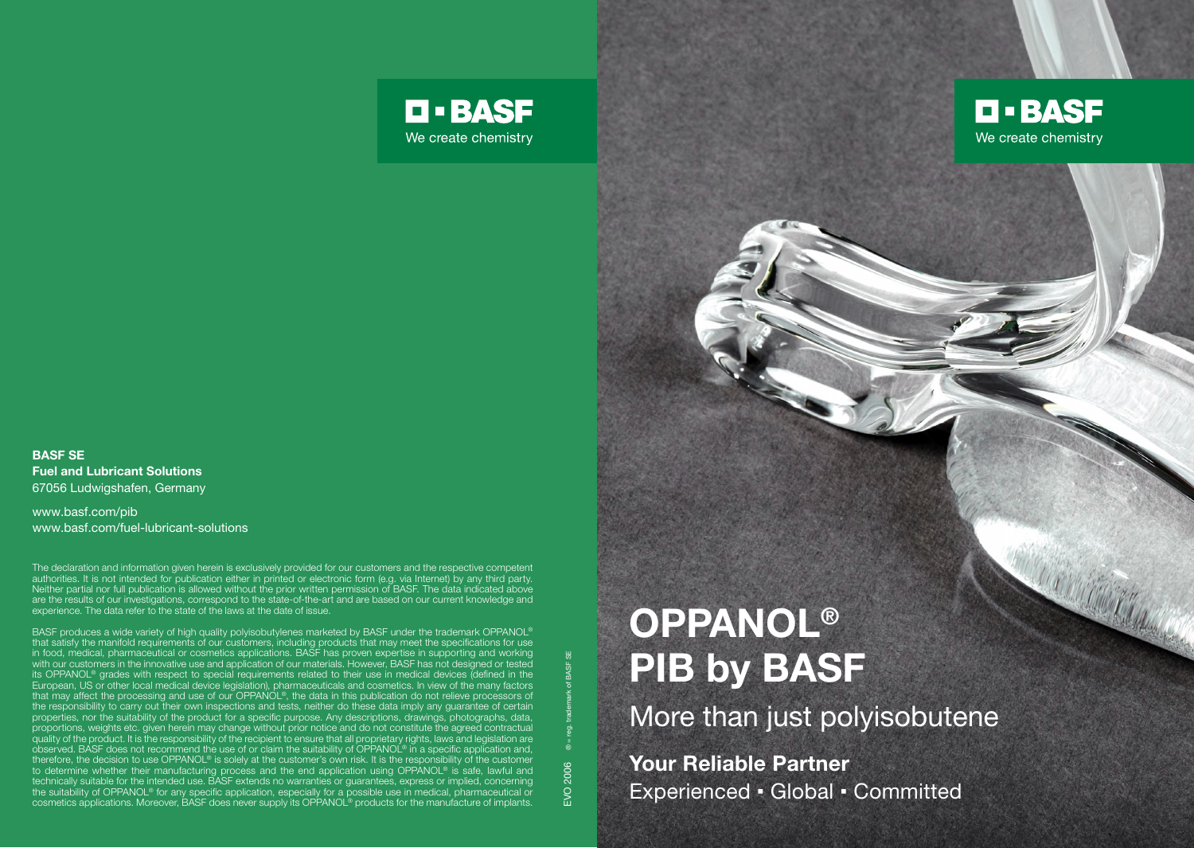## BASF SE Fuel and Lubricant Solutions 67056 Ludwigshafen, Germany

www.basf.com/pib www.basf.com/fuel-lubricant-solutions

The declaration and information given herein is exclusively provided for our customers and the respective competent authorities. It is not intended for publication either in printed or electronic form (e.g. via Internet) by any third party. Neither partial nor full publication is allowed without the prior written permission of BASF. The data indicated above are the results of our investigations, correspond to the state-of-the-art and are based on our current knowledge and experience. The data refer to the state of the laws at the date of issue.

BASF produces a wide variety of high quality polyisobutylenes marketed by BASF under the trademark OPPANOL® that satisfy the manifold requirements of our customers, including products that may meet the specifications for use in food, medical, pharmaceutical or cosmetics applications. BASF has proven expertise in supporting and working<br>with our customers in the innovative use and application of our materials. However, BASF has not designed or t its OPPANOL® grades with respect to special requirements related to their use in medical devices (defined in the European, US or other local medical device legislation), pharmaceuticals and cosmetics. In view of the many factors that may affect the processing and use of our OPPANOL®, the data in this publication do not relieve processors of the responsibility to carry out their own inspections and tests, neither do these data imply any guarantee of certain properties, nor the suitability of the product for a specific purpose. Any descriptions, drawings, photographs, data, proportions, weights etc. given herein may change without prior notice and do not constitute the agreed contractual quality of the product. It is the responsibility of the recipient to ensure that all proprietary rights, laws and legislation are observed. BASF does not recommend the use of or claim the suitability of OPPANOL® in a specific application and, therefore, the decision to use OPPANOL® is solely at the customer's own risk. It is the responsibility of the customer to determine whether their manufacturing process and the end application using OPPANOL® is safe, lawful and technically suitable for the intended use. BASF extends no warranties or guarantees, express or implied, concerning the suitability of OPPANOL® for any specific application, especially for a possible use in medical, pharmaceutical or cosmetics applications. Moreover, BASF does never supply its OPPANOL® products for the manufacture of implants.

## **OPPANOL®** PIB by BASF

EVO 2006 ® = req. trademark of BASF SE

EVO 2006

**D-BASF** 

We create chemistry

More than just polyisobutene

Your Reliable Partner Experienced • Global • Committed